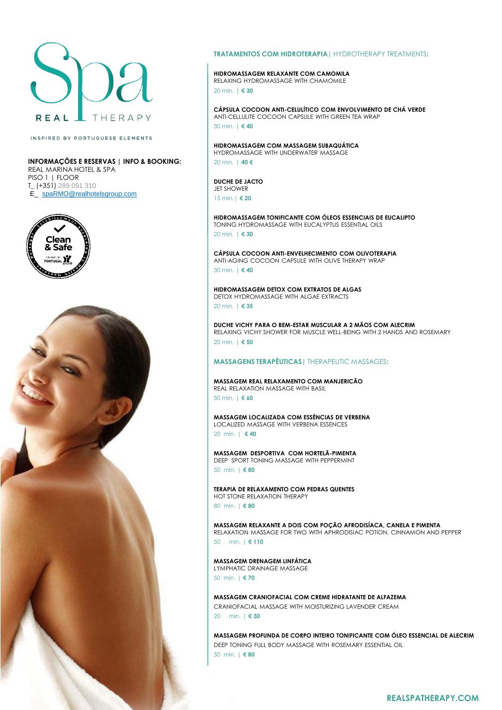

INSPIRED BY PORTUGUESE ELEMENTS

**INFORMAÇÕES E RESERVAS | INFO & BOOKING:** REAL MARINA HOTEL & SPA PISO 1 | FLOOR T\_ (+351) 289 091 310 E\_ spa[RMO@realhotelsgroup.com](mailto:RMO@realhotelsgroup.com)





#### **TRATAMENTOS COM HIDROTERAPIA|** HYDROTHERAPY TREATMENTS**:**

### **HIDROMASSAGEM RELAXANTE COM CAMOMILA**

RELAXING HYDROMASSAGE WITH CHAMOMILE 20 min. | **€ 30**

**CÁPSULA COCOON ANTI-CELULÍTICO COM ENVOLVIMENTO DE CHÁ VERDE** ANTI-CELLULITE COCOON CAPSULE WITH GREEN TEA WRAP 30 min. | **€ 40**

**HIDROMASSAGEM COM MASSAGEM SUBAQUÁTICA** HYDROMASSAGE WITH UNDERWATER MASSAGE

20 min. | **40 €**

**DUCHE DE JACTO** JET SHOWER 15 min.| **€ 20**

**HIDROMASSAGEM TONIFICANTE COM ÓLEOS ESSENCIAIS DE EUCALIPTO** TONING HYDROMASSAGE WITH EUCALYPTUS ESSENTIAL OILS 20 min. | **€ 30**

**CÁPSULA COCOON ANTI-ENVELHECIMENTO COM OLIVOTERAPIA** ANTI-AGING COCOON CAPSULE WITH OLIVE THERAPY WRAP 30 min. | **€ 40**

**HIDROMASSAGEM DETOX COM EXTRATOS DE ALGAS** DETOX HYDROMASSAGE WITH ALGAE EXTRACTS 20 min. | **€ 35**

**DUCHE VICHY PARA O BEM-ESTAR MUSCULAR A 2 MÃOS COM ALECRIM** RELAXING VICHY SHOWER FOR MUSCLE WELL-BEING WITH 2 HANDS AND ROSEMARY 20 min. | **€ 50**

#### **MASSAGENS TERAPÊUTICAS|** THERAPEUTIC MASSAGES**:**

**MASSAGEM REAL RELAXAMENTO COM MANJERICÃO** REAL RELAXATION MASSAGE WITH BASIL 50 min. | **€ 60**

**MASSAGEM LOCALIZADA COM ESSÊNCIAS DE VERBENA**  LOCALIZED MASSAGE WITH VERBENA ESSENCES 20 min. | **€ 40**

**MASSAGEM DESPORTIVA COM HORTELÃ-PIMENTA** DEEP SPORT TONING MASSAGE WITH PEPPERMINT 50 min. | **€ 80**

**TERAPIA DE RELAXAMENTO COM PEDRAS QUENTES**  HOT STONE RELAXATION THERAPY 80 min. | **€ 80**

**MASSAGEM RELAXANTE A DOIS COM POÇÃO AFRODISÍACA, CANELA E PIMENTA**  RELAXATION MASSAGE FOR TWO WITH APHRODISIAC POTION, CINNAMON AND PEPPER

50 min. | **€ 110**

**MASSAGEM DRENAGEM LINFÁTICA** LYMPHATIC DRAINAGE MASSAGE

50 min. | **€ 70**

**MASSAGEM CRANIOFACIAL COM CREME HIDRATANTE DE ALFAZEMA** CRANIOFACIAL MASSAGE WITH MOISTURIZING LAVENDER CREAM

20 min. | **€ 30**

**MASSAGEM PROFUNDA DE CORPO INTEIRO TONIFICANTE COM ÓLEO ESSENCIAL DE ALECRIM** DEEP TONING FULL BODY MASSAGE WITH ROSEMARY ESSENTIAL OIL 50 min. | **€ 80**